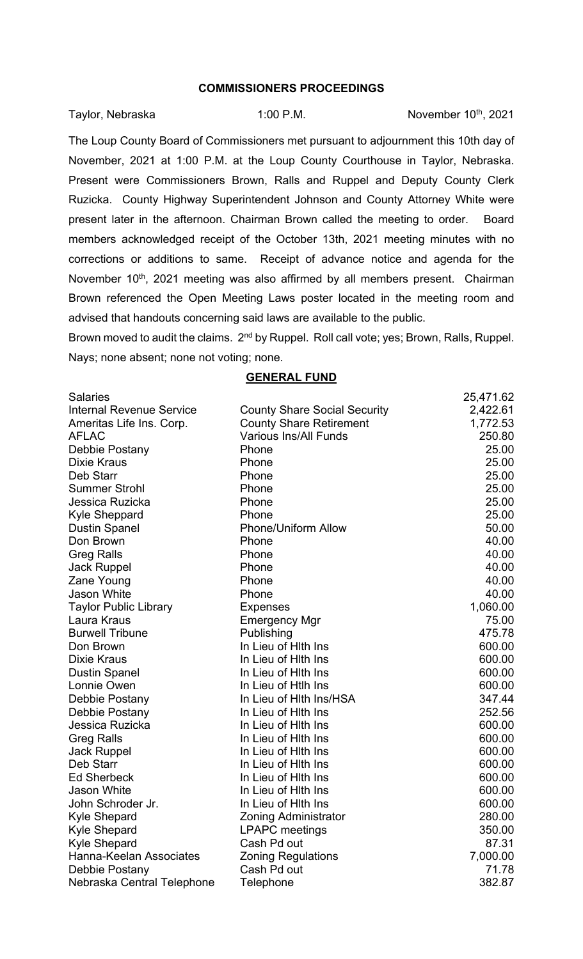## **COMMISSIONERS PROCEEDINGS**

Taylor, Nebraska **1:00 P.M.** November 10<sup>th</sup>, 2021

The Loup County Board of Commissioners met pursuant to adjournment this 10th day of November, 2021 at 1:00 P.M. at the Loup County Courthouse in Taylor, Nebraska. Present were Commissioners Brown, Ralls and Ruppel and Deputy County Clerk Ruzicka. County Highway Superintendent Johnson and County Attorney White were present later in the afternoon. Chairman Brown called the meeting to order. Board members acknowledged receipt of the October 13th, 2021 meeting minutes with no corrections or additions to same. Receipt of advance notice and agenda for the November 10<sup>th</sup>, 2021 meeting was also affirmed by all members present. Chairman Brown referenced the Open Meeting Laws poster located in the meeting room and advised that handouts concerning said laws are available to the public.

Brown moved to audit the claims. 2<sup>nd</sup> by Ruppel. Roll call vote; yes; Brown, Ralls, Ruppel. Nays; none absent; none not voting; none.

## **GENERAL FUND**

| <b>Salaries</b>                 |                                     | 25,471.62 |
|---------------------------------|-------------------------------------|-----------|
| <b>Internal Revenue Service</b> | <b>County Share Social Security</b> | 2,422.61  |
| Ameritas Life Ins. Corp.        | <b>County Share Retirement</b>      | 1,772.53  |
| <b>AFLAC</b>                    | <b>Various Ins/All Funds</b>        | 250.80    |
| Debbie Postany                  | Phone                               | 25.00     |
| <b>Dixie Kraus</b>              | Phone                               | 25.00     |
| Deb Starr                       | Phone                               | 25.00     |
| <b>Summer Strohl</b>            | Phone                               | 25.00     |
| Jessica Ruzicka                 | Phone                               | 25.00     |
| Kyle Sheppard                   | Phone                               | 25.00     |
| <b>Dustin Spanel</b>            | <b>Phone/Uniform Allow</b>          | 50.00     |
| Don Brown                       | Phone                               | 40.00     |
| <b>Greg Ralls</b>               | Phone                               | 40.00     |
| <b>Jack Ruppel</b>              | Phone                               | 40.00     |
| Zane Young                      | Phone                               | 40.00     |
| <b>Jason White</b>              | Phone                               | 40.00     |
| <b>Taylor Public Library</b>    | <b>Expenses</b>                     | 1,060.00  |
| Laura Kraus                     | <b>Emergency Mgr</b>                | 75.00     |
| <b>Burwell Tribune</b>          | Publishing                          | 475.78    |
| Don Brown                       | In Lieu of Hith Ins                 | 600.00    |
| <b>Dixie Kraus</b>              | In Lieu of Hith Ins                 | 600.00    |
| <b>Dustin Spanel</b>            | In Lieu of Hith Ins                 | 600.00    |
| Lonnie Owen                     | In Lieu of Htlh Ins                 | 600.00    |
| Debbie Postany                  | In Lieu of Hith Ins/HSA             | 347.44    |
| Debbie Postany                  | In Lieu of Hith Ins                 | 252.56    |
| Jessica Ruzicka                 | In Lieu of Hith Ins                 | 600.00    |
| <b>Greg Ralls</b>               | In Lieu of Hith Ins                 | 600.00    |
| <b>Jack Ruppel</b>              | In Lieu of Hith Ins                 | 600.00    |
| Deb Starr                       | In Lieu of Hith Ins                 | 600.00    |
| <b>Ed Sherbeck</b>              | In Lieu of Hith Ins                 | 600.00    |
| Jason White                     | In Lieu of Hith Ins                 | 600.00    |
| John Schroder Jr.               | In Lieu of Hith Ins                 | 600.00    |
| <b>Kyle Shepard</b>             | <b>Zoning Administrator</b>         | 280.00    |
| <b>Kyle Shepard</b>             | <b>LPAPC</b> meetings               | 350.00    |
| <b>Kyle Shepard</b>             | Cash Pd out                         | 87.31     |
| Hanna-Keelan Associates         | <b>Zoning Regulations</b>           | 7,000.00  |
| Debbie Postany                  | Cash Pd out                         | 71.78     |
| Nebraska Central Telephone      | Telephone                           | 382.87    |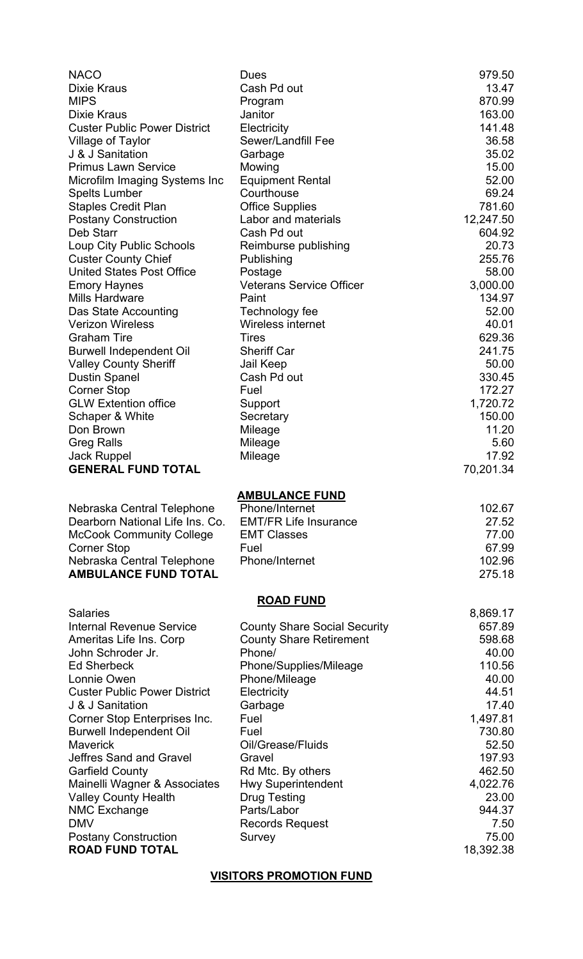| <b>NACO</b>                                           | <b>Dues</b>                           | 979.50             |
|-------------------------------------------------------|---------------------------------------|--------------------|
| <b>Dixie Kraus</b>                                    | Cash Pd out                           | 13.47              |
| <b>MIPS</b>                                           | Program                               | 870.99             |
| <b>Dixie Kraus</b>                                    | Janitor                               | 163.00             |
| <b>Custer Public Power District</b>                   | Electricity                           | 141.48             |
| Village of Taylor                                     | Sewer/Landfill Fee                    | 36.58              |
| J & J Sanitation                                      | Garbage                               | 35.02              |
| <b>Primus Lawn Service</b>                            | Mowing                                | 15.00              |
| Microfilm Imaging Systems Inc                         | <b>Equipment Rental</b><br>Courthouse | 52.00<br>69.24     |
| <b>Spelts Lumber</b><br><b>Staples Credit Plan</b>    | <b>Office Supplies</b>                | 781.60             |
| <b>Postany Construction</b>                           | Labor and materials                   | 12,247.50          |
| Deb Starr                                             | Cash Pd out                           | 604.92             |
| Loup City Public Schools                              | Reimburse publishing                  | 20.73              |
| <b>Custer County Chief</b>                            | Publishing                            | 255.76             |
| <b>United States Post Office</b>                      | Postage                               | 58.00              |
| <b>Emory Haynes</b>                                   | <b>Veterans Service Officer</b>       | 3,000.00           |
| <b>Mills Hardware</b>                                 | Paint                                 | 134.97             |
| Das State Accounting                                  | Technology fee                        | 52.00              |
| <b>Verizon Wireless</b>                               | Wireless internet                     | 40.01              |
| <b>Graham Tire</b>                                    | <b>Tires</b>                          | 629.36             |
| <b>Burwell Independent Oil</b>                        | <b>Sheriff Car</b>                    | 241.75             |
| <b>Valley County Sheriff</b>                          | Jail Keep                             | 50.00              |
| <b>Dustin Spanel</b>                                  | Cash Pd out                           | 330.45             |
| <b>Corner Stop</b>                                    | Fuel                                  | 172.27             |
| <b>GLW Extention office</b>                           | Support                               | 1,720.72           |
| Schaper & White                                       | Secretary                             | 150.00             |
| Don Brown                                             | Mileage                               | 11.20              |
| <b>Greg Ralls</b>                                     | Mileage                               | 5.60               |
| <b>Jack Ruppel</b><br><b>GENERAL FUND TOTAL</b>       | Mileage                               | 17.92<br>70,201.34 |
|                                                       |                                       |                    |
|                                                       |                                       |                    |
|                                                       | <b>AMBULANCE FUND</b>                 |                    |
| Nebraska Central Telephone                            | Phone/Internet                        | 102.67             |
| Dearborn National Life Ins. Co.                       | <b>EMT/FR Life Insurance</b>          | 27.52              |
| <b>McCook Community College</b>                       | <b>EMT Classes</b>                    | 77.00              |
| <b>Corner Stop</b>                                    | Fuel                                  | 67.99              |
| Nebraska Central Telephone                            | Phone/Internet                        | 102.96             |
| <b>AMBULANCE FUND TOTAL</b>                           |                                       | 275.18             |
|                                                       |                                       |                    |
| <b>Salaries</b>                                       | <b>ROAD FUND</b>                      | 8,869.17           |
| <b>Internal Revenue Service</b>                       | <b>County Share Social Security</b>   | 657.89             |
| Ameritas Life Ins. Corp                               | <b>County Share Retirement</b>        | 598.68             |
| John Schroder Jr.                                     | Phone/                                | 40.00              |
| <b>Ed Sherbeck</b>                                    | Phone/Supplies/Mileage                | 110.56             |
| Lonnie Owen                                           | Phone/Mileage                         | 40.00              |
| <b>Custer Public Power District</b>                   | Electricity                           | 44.51              |
| J & J Sanitation                                      | Garbage                               | 17.40              |
| Corner Stop Enterprises Inc.                          | Fuel                                  | 1,497.81           |
| <b>Burwell Independent Oil</b>                        | Fuel                                  | 730.80             |
| <b>Maverick</b>                                       | Oil/Grease/Fluids                     | 52.50              |
| Jeffres Sand and Gravel                               | Gravel                                | 197.93             |
| <b>Garfield County</b>                                | Rd Mtc. By others                     | 462.50             |
| Mainelli Wagner & Associates                          | <b>Hwy Superintendent</b>             | 4,022.76           |
| <b>Valley County Health</b>                           | <b>Drug Testing</b>                   | 23.00              |
| <b>NMC Exchange</b><br><b>DMV</b>                     | Parts/Labor                           | 944.37             |
|                                                       | <b>Records Request</b><br>Survey      | 7.50<br>75.00      |
| <b>Postany Construction</b><br><b>ROAD FUND TOTAL</b> |                                       | 18,392.38          |

**VISITORS PROMOTION FUND**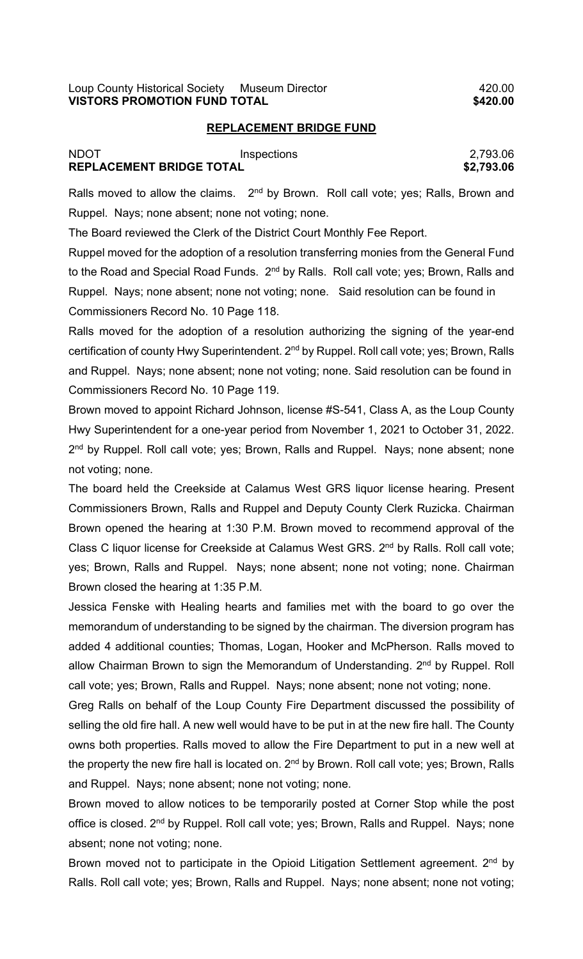## **REPLACEMENT BRIDGE FUND**

| NDOT                            | Inspections | 2,793.06   |
|---------------------------------|-------------|------------|
| <b>REPLACEMENT BRIDGE TOTAL</b> |             | \$2,793.06 |

Ralls moved to allow the claims.  $2<sup>nd</sup>$  by Brown. Roll call vote; yes; Ralls, Brown and Ruppel. Nays; none absent; none not voting; none.

The Board reviewed the Clerk of the District Court Monthly Fee Report.

Ruppel moved for the adoption of a resolution transferring monies from the General Fund to the Road and Special Road Funds. 2<sup>nd</sup> by Ralls. Roll call vote; yes; Brown, Ralls and Ruppel. Nays; none absent; none not voting; none. Said resolution can be found in Commissioners Record No. 10 Page 118.

Ralls moved for the adoption of a resolution authorizing the signing of the year-end certification of county Hwy Superintendent. 2<sup>nd</sup> by Ruppel. Roll call vote; yes; Brown, Ralls and Ruppel. Nays; none absent; none not voting; none. Said resolution can be found in Commissioners Record No. 10 Page 119.

Brown moved to appoint Richard Johnson, license #S-541, Class A, as the Loup County Hwy Superintendent for a one-year period from November 1, 2021 to October 31, 2022. 2<sup>nd</sup> by Ruppel. Roll call vote; yes; Brown, Ralls and Ruppel. Nays; none absent; none not voting; none.

The board held the Creekside at Calamus West GRS liquor license hearing. Present Commissioners Brown, Ralls and Ruppel and Deputy County Clerk Ruzicka. Chairman Brown opened the hearing at 1:30 P.M. Brown moved to recommend approval of the Class C liquor license for Creekside at Calamus West GRS. 2<sup>nd</sup> by Ralls. Roll call vote; yes; Brown, Ralls and Ruppel. Nays; none absent; none not voting; none. Chairman Brown closed the hearing at 1:35 P.M.

Jessica Fenske with Healing hearts and families met with the board to go over the memorandum of understanding to be signed by the chairman. The diversion program has added 4 additional counties; Thomas, Logan, Hooker and McPherson. Ralls moved to allow Chairman Brown to sign the Memorandum of Understanding. 2<sup>nd</sup> by Ruppel. Roll call vote; yes; Brown, Ralls and Ruppel. Nays; none absent; none not voting; none.

Greg Ralls on behalf of the Loup County Fire Department discussed the possibility of selling the old fire hall. A new well would have to be put in at the new fire hall. The County owns both properties. Ralls moved to allow the Fire Department to put in a new well at the property the new fire hall is located on.  $2^{nd}$  by Brown. Roll call vote; yes; Brown, Ralls and Ruppel. Nays; none absent; none not voting; none.

Brown moved to allow notices to be temporarily posted at Corner Stop while the post office is closed. 2<sup>nd</sup> by Ruppel. Roll call vote; yes; Brown, Ralls and Ruppel. Nays; none absent; none not voting; none.

Brown moved not to participate in the Opioid Litigation Settlement agreement. 2<sup>nd</sup> by Ralls. Roll call vote; yes; Brown, Ralls and Ruppel. Nays; none absent; none not voting;